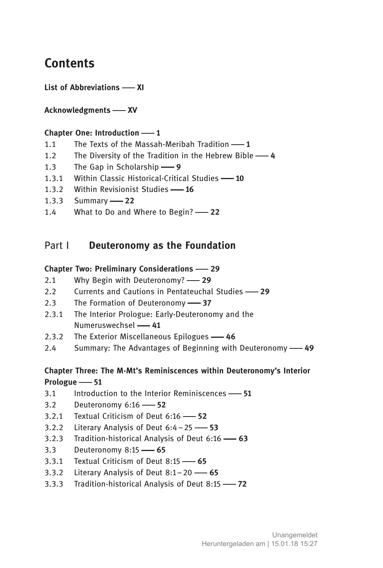# **Contents**

List of Abbreviations - XI

# Acknowledgments - XV

## Chapter One: Introduction  $-1$

- 1.1 The Texts of the Massah-Meribah Tradition  $-1$
- 1.2 The Diversity of the Tradition in the Hebrew Bible -4
- 1.3 The Gap in Scholarship -9
- 1.3.1 Within Classic Historical-Critical Studies -10
- 1.3.2 Within Revisionist Studies -16
- 1.3.3 Summary -22
- 1.4 What to Do and Where to Begin? -22

# Part I Deuteronomy as the Foundation

#### Chapter Two: Preliminary Considerations 29

- 2.1 Why Begin with Deuteronomy? -29
- 2.2 Currents and Cautions in Pentateuchal Studies -29
- 2.3 The Formation of Deuteronomy -87
- 2.3.1 The Interior Prologue: Early-Deuteronomy and the Numeruswechsel -41
- 2.3.2 The Exterior Miscellaneous Epilogues -46
- 2.4 Summary: The Advantages of Beginning with Deuteronomy 49

# Chapter Three: The M-Mt's Reminiscences within Deuteronomy's Interior Prologue -61

- $3.1$  Introduction to the Interior Reminiscences  $-51$
- 3.2 Deuteronomy  $6:16 52$
- 3.2.1 Textual Criticism of Deut  $6:16$  52
- 3.2.2 Literary Analysis of Deut  $6:4-25$  53
- 3.2.3 Tradition-historical Analysis of Deut  $6:16$  -63
- 3.3 Deuteronomy 8:15 -- 65
- 3.3.1 Textual Criticism of Deut  $8:15$   $-65$
- 3.3.2 Literary Analysis of Deut  $8:1-20$  -65
- 3.3.3 Tradition-historical Analysis of Deut 8:15  $-$ 72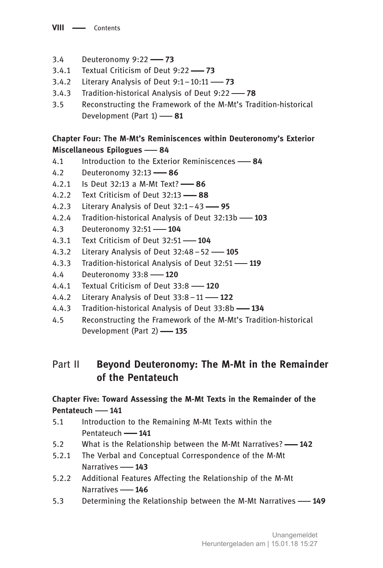- 3.4 Deuteronomy 9:22 73
- 3.4.1 Textual Criticism of Deut  $9:22$  73
- 3.4.2 Literary Analysis of Deut  $9:1-10:11$  -73
- 3.4.3 Tradition-historical Analysis of Deut  $9:22$  78
- . Reconstructing the Framework of the M-Mt's Tradition-historical Development (Part  $1)$   $\longrightarrow$  81

# Chapter Four: The M-Mt's Reminiscences within Deuteronomy's Exterior Miscellaneous Epilogues -84

- 4.1 Introduction to the Exterior Reminiscences -84
- 4.2 Deuteronomy 32:13 -86
- 4.2.1 Is Deut 32:13 a M-Mt Text?  $-$  86
- 4.2.2 Text Criticism of Deut  $32:13$   $88$
- 4.2.3 Literary Analysis of Deut  $32:1-43$  95
- 4.2.4 Tradition-historical Analysis of Deut 32:13b -103
- 4.3 Deuteronomy 32:51 -- 104
- 4.3.1 Text Criticism of Deut  $32:51$  104
- 4.3.2 Literary Analysis of Deut  $32:48-52$  105
- 4.3.3 Tradition-historical Analysis of Deut 32:51 -119
- 4.4 Deuteronomy 33:8 120
- 4.4.1 Textual Criticism of Deut  $33:8$  120
- 4.4.2 Literary Analysis of Deut  $33:8-11$  122
- 4.4.3 Tradition-historical Analysis of Deut 33:8b -134
- . Reconstructing the Framework of the M-Mt's Tradition-historical Development (Part 2) -135

# Part II Beyond Deuteronomy: The M-Mt in the Remainder of the Pentateuch

# Chapter Five: Toward Assessing the M-Mt Texts in the Remainder of the Pentateuch - 141

- . Introduction to the Remaining M-Mt Texts within the Pentateuch - 141
- 5.2 What is the Relationship between the M-Mt Narratives? -- 142
- 5.2.1 The Verbal and Conceptual Correspondence of the M-Mt Narratives - 143
- 5.2.2 Additional Features Affecting the Relationship of the M-Mt Narratives - 146
- 5.3 Determining the Relationship between the M-Mt Narratives -149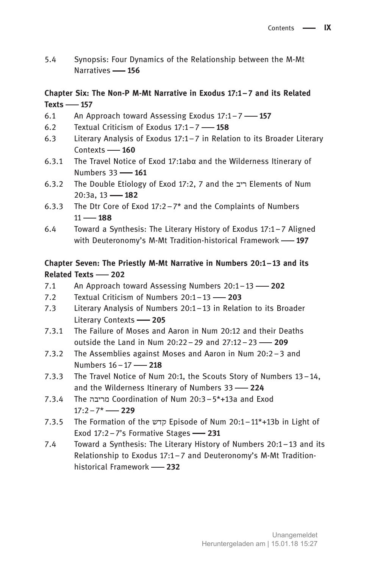. Synopsis: Four Dynamics of the Relationship between the M-Mt Narratives **456** 

# Chapter Six: The Non-P M-Mt Narrative in Exodus 17:1–7 and its Related  $Texts$  - 157

- 6.1 An Approach toward Assessing Exodus  $17:1-7$  157
- 6.2 Textual Criticism of Exodus  $17:1 7$  158
- . Literary Analysis of Exodus 17:1–7 in Relation to its Broader Literary  $Contexts$   $- 160$
- 6.3.1 The Travel Notice of Exod 17:1abα and the Wilderness Itinerary of Numbers 33 - 161
- 6.3.2 The Double Etiology of Exod 17:2, 7 and the ריב Elements of Num 20:3a, 13 - 182
- 6.3.3 The Dtr Core of Exod  $17:2-7*$  and the Complaints of Numbers  $11 - 188$
- . Toward a Synthesis: The Literary History of Exodus 17:1–7 Aligned with Deuteronomy's M-Mt Tradition-historical Framework  $-$ 197

# Chapter Seven: The Priestly M-Mt Narrative in Numbers 20:1–13 and its Related Texts - 202

- 7.1 An Approach toward Assessing Numbers  $20:1-13$  202
- 7.2 Textual Criticism of Numbers  $20:1-13$  -203
- . Literary Analysis of Numbers 20:1–13 in Relation to its Broader Literary Contexts -205
- 7.3.1 The Failure of Moses and Aaron in Num 20:12 and their Deaths outside the Land in Num  $20:22 - 29$  and  $27:12 - 23$  - 209
- 7.3.2 The Assemblies against Moses and Aaron in Num  $20:2-3$  and Numbers 16-17 - 218
- 7.3.3 The Travel Notice of Num 20:1, the Scouts Story of Numbers  $13-14$ , and the Wilderness Itinerary of Numbers  $33 - 224$
- .. The בה יר מ Coordination of Num 20:3–5\*+13a and Exod  $17:2 - 7^*$  - 229
- .. The Formation of the קדש Episode of Num 20:1–11\*+13b in Light of Exod  $17:2 - 7$ 's Formative Stages  $-231$
- 7.4 Toward a Synthesis: The Literary History of Numbers 20:1–13 and its Relationship to Exodus 17:1–7 and Deuteronomy's M-Mt Traditionhistorical Framework -232